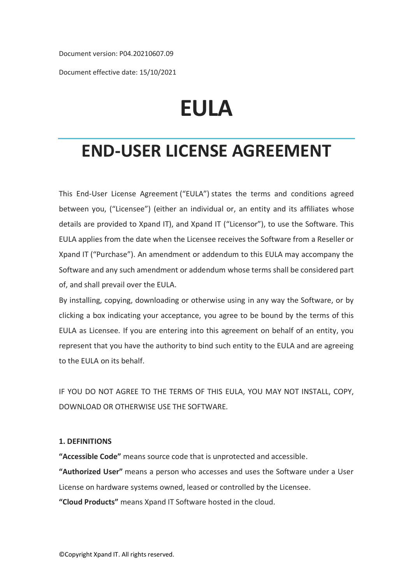Document version: P04.20210607.09

Document effective date: 15/10/2021

# **EULA**

## **END-USER LICENSE AGREEMENT**

This End-User License Agreement ("EULA") states the terms and conditions agreed between you, ("Licensee") (either an individual or, an entity and its affiliates whose details are provided to Xpand IT), and Xpand IT ("Licensor"), to use the Software. This EULA applies from the date when the Licensee receives the Software from a Reseller or Xpand IT ("Purchase"). An amendment or addendum to this EULA may accompany the Software and any such amendment or addendum whose terms shall be considered part of, and shall prevail over the EULA.

By installing, copying, downloading or otherwise using in any way the Software, or by clicking a box indicating your acceptance, you agree to be bound by the terms of this EULA as Licensee. If you are entering into this agreement on behalf of an entity, you represent that you have the authority to bind such entity to the EULA and are agreeing to the EULA on its behalf.

IF YOU DO NOT AGREE TO THE TERMS OF THIS EULA, YOU MAY NOT INSTALL, COPY, DOWNLOAD OR OTHERWISE USE THE SOFTWARE.

### **1. DEFINITIONS**

**"Accessible Code"** means source code that is unprotected and accessible.

**"Authorized User"** means a person who accesses and uses the Software under a User License on hardware systems owned, leased or controlled by the Licensee.

**"Cloud Products"** means Xpand IT Software hosted in the cloud.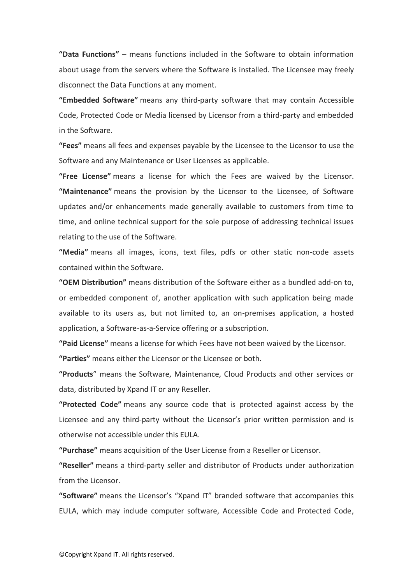**"Data Functions"** – means functions included in the Software to obtain information about usage from the servers where the Software is installed. The Licensee may freely disconnect the Data Functions at any moment.

**"Embedded Software"** means any third-party software that may contain Accessible Code, Protected Code or Media licensed by Licensor from a third-party and embedded in the Software.

**"Fees"** means all fees and expenses payable by the Licensee to the Licensor to use the Software and any Maintenance or User Licenses as applicable.

**"Free License"** means a license for which the Fees are waived by the Licensor. **"Maintenance"** means the provision by the Licensor to the Licensee, of Software updates and/or enhancements made generally available to customers from time to time, and online technical support for the sole purpose of addressing technical issues relating to the use of the Software.

**"Media"** means all images, icons, text files, pdfs or other static non-code assets contained within the Software.

**"OEM Distribution"** means distribution of the Software either as a bundled add-on to, or embedded component of, another application with such application being made available to its users as, but not limited to, an on-premises application, a hosted application, a Software-as-a-Service offering or a subscription.

**"Paid License"** means a license for which Fees have not been waived by the Licensor.

**"Parties"** means either the Licensor or the Licensee or both.

**"Products**" means the Software, Maintenance, Cloud Products and other services or data, distributed by Xpand IT or any Reseller.

**"Protected Code"** means any source code that is protected against access by the Licensee and any third-party without the Licensor's prior written permission and is otherwise not accessible under this EULA.

**"Purchase"** means acquisition of the User License from a Reseller or Licensor.

**"Reseller"** means a third-party seller and distributor of Products under authorization from the Licensor.

**"Software"** means the Licensor's "Xpand IT" branded software that accompanies this EULA, which may include computer software, Accessible Code and Protected Code,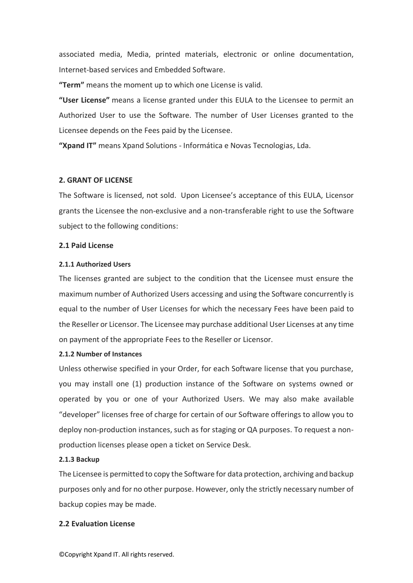associated media, Media, printed materials, electronic or online documentation, Internet-based services and Embedded Software.

**"Term"** means the moment up to which one License is valid.

**"User License"** means a license granted under this EULA to the Licensee to permit an Authorized User to use the Software. The number of User Licenses granted to the Licensee depends on the Fees paid by the Licensee.

**"Xpand IT"** means Xpand Solutions - Informática e Novas Tecnologias, Lda.

### **2. GRANT OF LICENSE**

The Software is licensed, not sold. Upon Licensee's acceptance of this EULA, Licensor grants the Licensee the non-exclusive and a non-transferable right to use the Software subject to the following conditions:

### **2.1 Paid License**

### **2.1.1 Authorized Users**

The licenses granted are subject to the condition that the Licensee must ensure the maximum number of Authorized Users accessing and using the Software concurrently is equal to the number of User Licenses for which the necessary Fees have been paid to the Reseller or Licensor. The Licensee may purchase additional User Licenses at any time on payment of the appropriate Fees to the Reseller or Licensor.

### **2.1.2 Number of Instances**

Unless otherwise specified in your Order, for each Software license that you purchase, you may install one (1) production instance of the Software on systems owned or operated by you or one of your Authorized Users. We may also make available "developer" licenses free of charge for certain of our Software offerings to allow you to deploy non-production instances, such as for staging or QA purposes. To request a nonproduction licenses please open a ticket on Service Desk.

### **2.1.3 Backup**

The Licensee is permitted to copy the Software for data protection, archiving and backup purposes only and for no other purpose. However, only the strictly necessary number of backup copies may be made.

### **2.2 Evaluation License**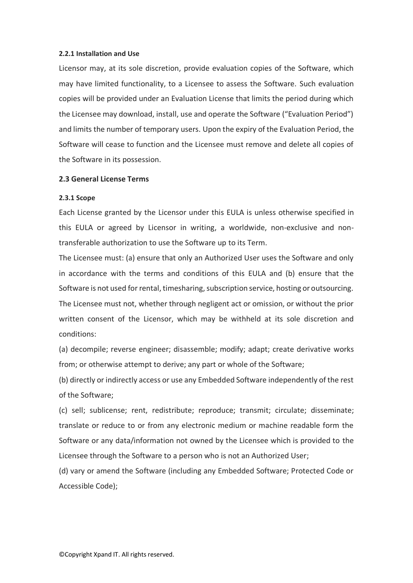### **2.2.1 Installation and Use**

Licensor may, at its sole discretion, provide evaluation copies of the Software, which may have limited functionality, to a Licensee to assess the Software. Such evaluation copies will be provided under an Evaluation License that limits the period during which the Licensee may download, install, use and operate the Software ("Evaluation Period") and limits the number of temporary users. Upon the expiry of the Evaluation Period, the Software will cease to function and the Licensee must remove and delete all copies of the Software in its possession.

### **2.3 General License Terms**

### **2.3.1 Scope**

Each License granted by the Licensor under this EULA is unless otherwise specified in this EULA or agreed by Licensor in writing, a worldwide, non-exclusive and nontransferable authorization to use the Software up to its Term.

The Licensee must: (a) ensure that only an Authorized User uses the Software and only in accordance with the terms and conditions of this EULA and (b) ensure that the Software is not used for rental, timesharing, subscription service, hosting or outsourcing. The Licensee must not, whether through negligent act or omission, or without the prior written consent of the Licensor, which may be withheld at its sole discretion and conditions:

(a) decompile; reverse engineer; disassemble; modify; adapt; create derivative works from; or otherwise attempt to derive; any part or whole of the Software;

(b) directly or indirectly access or use any Embedded Software independently of the rest of the Software;

(c) sell; sublicense; rent, redistribute; reproduce; transmit; circulate; disseminate; translate or reduce to or from any electronic medium or machine readable form the Software or any data/information not owned by the Licensee which is provided to the Licensee through the Software to a person who is not an Authorized User;

(d) vary or amend the Software (including any Embedded Software; Protected Code or Accessible Code);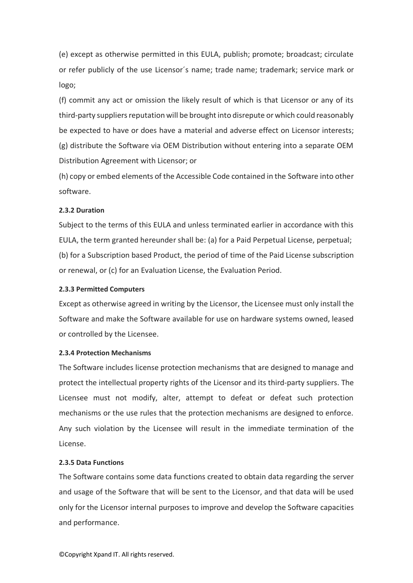(e) except as otherwise permitted in this EULA, publish; promote; broadcast; circulate or refer publicly of the use Licensor´s name; trade name; trademark; service mark or logo;

(f) commit any act or omission the likely result of which is that Licensor or any of its third-party suppliers reputation will be brought into disrepute or which could reasonably be expected to have or does have a material and adverse effect on Licensor interests; (g) distribute the Software via OEM Distribution without entering into a separate OEM Distribution Agreement with Licensor; or

(h) copy or embed elements of the Accessible Code contained in the Software into other software.

### **2.3.2 Duration**

Subject to the terms of this EULA and unless terminated earlier in accordance with this EULA, the term granted hereunder shall be: (a) for a Paid Perpetual License, perpetual; (b) for a Subscription based Product, the period of time of the Paid License subscription or renewal, or (c) for an Evaluation License, the Evaluation Period.

### **2.3.3 Permitted Computers**

Except as otherwise agreed in writing by the Licensor, the Licensee must only install the Software and make the Software available for use on hardware systems owned, leased or controlled by the Licensee.

### **2.3.4 Protection Mechanisms**

The Software includes license protection mechanisms that are designed to manage and protect the intellectual property rights of the Licensor and its third-party suppliers. The Licensee must not modify, alter, attempt to defeat or defeat such protection mechanisms or the use rules that the protection mechanisms are designed to enforce. Any such violation by the Licensee will result in the immediate termination of the License.

### **2.3.5 Data Functions**

The Software contains some data functions created to obtain data regarding the server and usage of the Software that will be sent to the Licensor, and that data will be used only for the Licensor internal purposes to improve and develop the Software capacities and performance.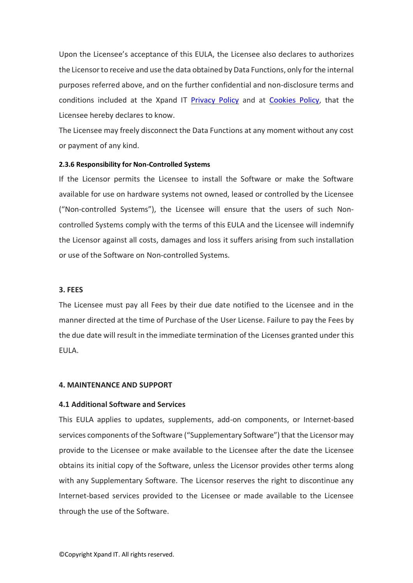Upon the Licensee's acceptance of this EULA, the Licensee also declares to authorizes the Licensorto receive and use the data obtained by Data Functions, only for the internal purposes referred above, and on the further confidential and non-disclosure terms and conditions included at the Xpand IT [Privacy Policy](https://www.xpand-it.com/privacy-policy/) and at [Cookies Policy,](https://www.xpand-it.com/cookies-policy/) that the Licensee hereby declares to know.

The Licensee may freely disconnect the Data Functions at any moment without any cost or payment of any kind.

### **2.3.6 Responsibility for Non-Controlled Systems**

If the Licensor permits the Licensee to install the Software or make the Software available for use on hardware systems not owned, leased or controlled by the Licensee ("Non-controlled Systems"), the Licensee will ensure that the users of such Noncontrolled Systems comply with the terms of this EULA and the Licensee will indemnify the Licensor against all costs, damages and loss it suffers arising from such installation or use of the Software on Non-controlled Systems.

#### **3. FEES**

The Licensee must pay all Fees by their due date notified to the Licensee and in the manner directed at the time of Purchase of the User License. Failure to pay the Fees by the due date will result in the immediate termination of the Licenses granted under this EULA.

### **4. MAINTENANCE AND SUPPORT**

### **4.1 Additional Software and Services**

This EULA applies to updates, supplements, add-on components, or Internet-based services components of the Software ("Supplementary Software") that the Licensor may provide to the Licensee or make available to the Licensee after the date the Licensee obtains its initial copy of the Software, unless the Licensor provides other terms along with any Supplementary Software. The Licensor reserves the right to discontinue any Internet-based services provided to the Licensee or made available to the Licensee through the use of the Software.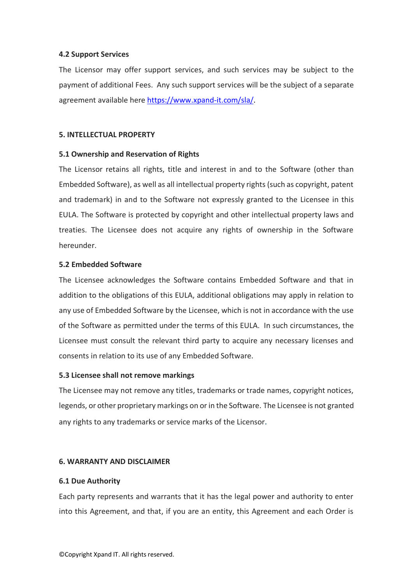### **4.2 Support Services**

The Licensor may offer support services, and such services may be subject to the payment of additional Fees. Any such support services will be the subject of a separate agreement available here [https://www.xpand-it.com/sla/.](https://www.xpand-it.com/sla/)

### **5. INTELLECTUAL PROPERTY**

### **5.1 Ownership and Reservation of Rights**

The Licensor retains all rights, title and interest in and to the Software (other than Embedded Software), as well as all intellectual property rights (such as copyright, patent and trademark) in and to the Software not expressly granted to the Licensee in this EULA. The Software is protected by copyright and other intellectual property laws and treaties. The Licensee does not acquire any rights of ownership in the Software hereunder.

### **5.2 Embedded Software**

The Licensee acknowledges the Software contains Embedded Software and that in addition to the obligations of this EULA, additional obligations may apply in relation to any use of Embedded Software by the Licensee, which is not in accordance with the use of the Software as permitted under the terms of this EULA. In such circumstances, the Licensee must consult the relevant third party to acquire any necessary licenses and consents in relation to its use of any Embedded Software.

### **5.3 Licensee shall not remove markings**

The Licensee may not remove any titles, trademarks or trade names, copyright notices, legends, or other proprietary markings on or in the Software. The Licensee is not granted any rights to any trademarks or service marks of the Licensor.

### **6. WARRANTY AND DISCLAIMER**

### **6.1 Due Authority**

Each party represents and warrants that it has the legal power and authority to enter into this Agreement, and that, if you are an entity, this Agreement and each Order is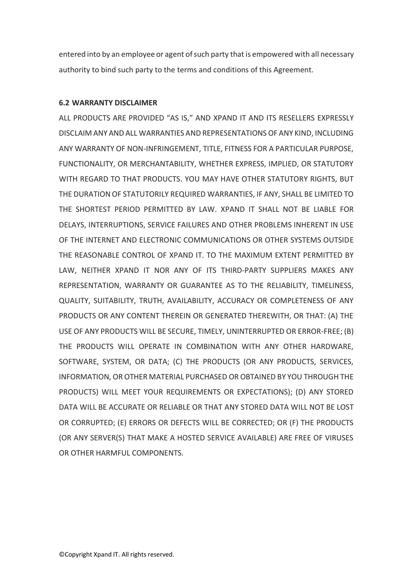entered into by an employee or agent of such party that is empowered with all necessary authority to bind such party to the terms and conditions of this Agreement.

### **6.2 WARRANTY DISCLAIMER**

ALL PRODUCTS ARE PROVIDED "AS IS," AND XPAND IT AND ITS RESELLERS EXPRESSLY DISCLAIM ANY AND ALL WARRANTIES AND REPRESENTATIONS OF ANY KIND, INCLUDING ANY WARRANTY OF NON-INFRINGEMENT, TITLE, FITNESS FOR A PARTICULAR PURPOSE, FUNCTIONALITY, OR MERCHANTABILITY, WHETHER EXPRESS, IMPLIED, OR STATUTORY WITH REGARD TO THAT PRODUCTS. YOU MAY HAVE OTHER STATUTORY RIGHTS, BUT THE DURATION OF STATUTORILY REQUIRED WARRANTIES, IF ANY, SHALL BE LIMITED TO THE SHORTEST PERIOD PERMITTED BY LAW. XPAND IT SHALL NOT BE LIABLE FOR DELAYS, INTERRUPTIONS, SERVICE FAILURES AND OTHER PROBLEMS INHERENT IN USE OF THE INTERNET AND ELECTRONIC COMMUNICATIONS OR OTHER SYSTEMS OUTSIDE THE REASONABLE CONTROL OF XPAND IT. TO THE MAXIMUM EXTENT PERMITTED BY LAW, NEITHER XPAND IT NOR ANY OF ITS THIRD-PARTY SUPPLIERS MAKES ANY REPRESENTATION, WARRANTY OR GUARANTEE AS TO THE RELIABILITY, TIMELINESS, QUALITY, SUITABILITY, TRUTH, AVAILABILITY, ACCURACY OR COMPLETENESS OF ANY PRODUCTS OR ANY CONTENT THEREIN OR GENERATED THEREWITH, OR THAT: (A) THE USE OF ANY PRODUCTS WILL BE SECURE, TIMELY, UNINTERRUPTED OR ERROR-FREE; (B) THE PRODUCTS WILL OPERATE IN COMBINATION WITH ANY OTHER HARDWARE, SOFTWARE, SYSTEM, OR DATA; (C) THE PRODUCTS (OR ANY PRODUCTS, SERVICES, INFORMATION, OR OTHER MATERIAL PURCHASED OR OBTAINED BY YOU THROUGH THE PRODUCTS) WILL MEET YOUR REQUIREMENTS OR EXPECTATIONS); (D) ANY STORED DATA WILL BE ACCURATE OR RELIABLE OR THAT ANY STORED DATA WILL NOT BE LOST OR CORRUPTED; (E) ERRORS OR DEFECTS WILL BE CORRECTED; OR (F) THE PRODUCTS (OR ANY SERVER(S) THAT MAKE A HOSTED SERVICE AVAILABLE) ARE FREE OF VIRUSES OR OTHER HARMFUL COMPONENTS.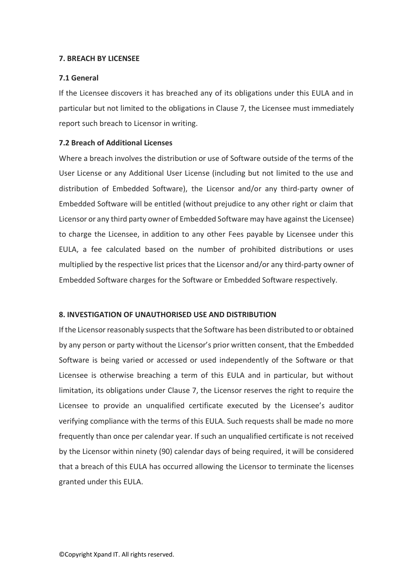### **7. BREACH BY LICENSEE**

### **7.1 General**

If the Licensee discovers it has breached any of its obligations under this EULA and in particular but not limited to the obligations in Clause 7, the Licensee must immediately report such breach to Licensor in writing.

### **7.2 Breach of Additional Licenses**

Where a breach involves the distribution or use of Software outside of the terms of the User License or any Additional User License (including but not limited to the use and distribution of Embedded Software), the Licensor and/or any third-party owner of Embedded Software will be entitled (without prejudice to any other right or claim that Licensor or any third party owner of Embedded Software may have against the Licensee) to charge the Licensee, in addition to any other Fees payable by Licensee under this EULA, a fee calculated based on the number of prohibited distributions or uses multiplied by the respective list prices that the Licensor and/or any third-party owner of Embedded Software charges for the Software or Embedded Software respectively.

### **8. INVESTIGATION OF UNAUTHORISED USE AND DISTRIBUTION**

If the Licensor reasonably suspects that the Software has been distributed to or obtained by any person or party without the Licensor's prior written consent, that the Embedded Software is being varied or accessed or used independently of the Software or that Licensee is otherwise breaching a term of this EULA and in particular, but without limitation, its obligations under Clause 7, the Licensor reserves the right to require the Licensee to provide an unqualified certificate executed by the Licensee's auditor verifying compliance with the terms of this EULA. Such requests shall be made no more frequently than once per calendar year. If such an unqualified certificate is not received by the Licensor within ninety (90) calendar days of being required, it will be considered that a breach of this EULA has occurred allowing the Licensor to terminate the licenses granted under this EULA.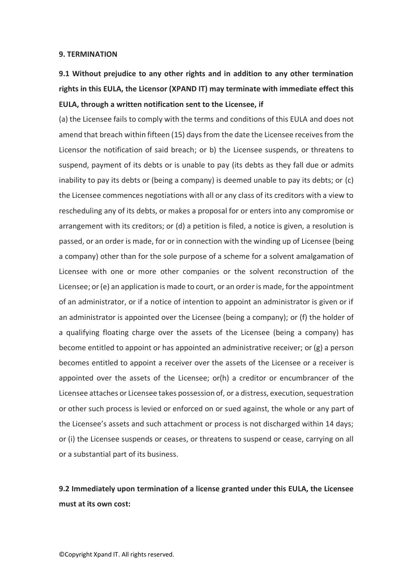### **9. TERMINATION**

### **9.1 Without prejudice to any other rights and in addition to any other termination rights in this EULA, the Licensor (XPAND IT) may terminate with immediate effect this EULA, through a written notification sent to the Licensee, if**

(a) the Licensee fails to comply with the terms and conditions of this EULA and does not amend that breach within fifteen (15) days from the date the Licensee receives from the Licensor the notification of said breach; or b) the Licensee suspends, or threatens to suspend, payment of its debts or is unable to pay (its debts as they fall due or admits inability to pay its debts or (being a company) is deemed unable to pay its debts; or (c) the Licensee commences negotiations with all or any class of its creditors with a view to rescheduling any of its debts, or makes a proposal for or enters into any compromise or arrangement with its creditors; or (d) a petition is filed, a notice is given, a resolution is passed, or an order is made, for or in connection with the winding up of Licensee (being a company) other than for the sole purpose of a scheme for a solvent amalgamation of Licensee with one or more other companies or the solvent reconstruction of the Licensee; or(e) an application is made to court, or an order is made, for the appointment of an administrator, or if a notice of intention to appoint an administrator is given or if an administrator is appointed over the Licensee (being a company); or (f) the holder of a qualifying floating charge over the assets of the Licensee (being a company) has become entitled to appoint or has appointed an administrative receiver; or (g) a person becomes entitled to appoint a receiver over the assets of the Licensee or a receiver is appointed over the assets of the Licensee; or(h) a creditor or encumbrancer of the Licensee attaches or Licensee takes possession of, or a distress, execution, sequestration or other such process is levied or enforced on or sued against, the whole or any part of the Licensee's assets and such attachment or process is not discharged within 14 days; or (i) the Licensee suspends or ceases, or threatens to suspend or cease, carrying on all or a substantial part of its business.

### **9.2 Immediately upon termination of a license granted under this EULA, the Licensee must at its own cost:**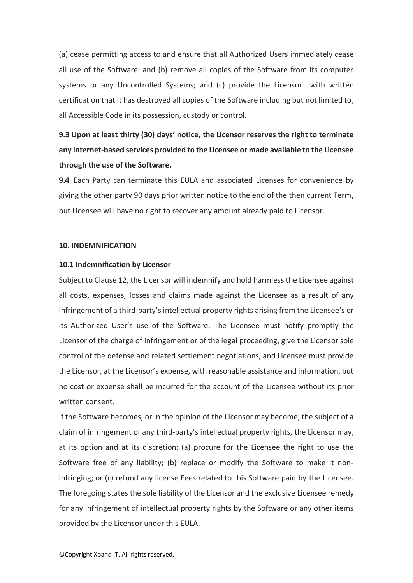(a) cease permitting access to and ensure that all Authorized Users immediately cease all use of the Software; and (b) remove all copies of the Software from its computer systems or any Uncontrolled Systems; and (c) provide the Licensor with written certification that it has destroyed all copies of the Software including but not limited to, all Accessible Code in its possession, custody or control.

### **9.3 Upon at least thirty (30) days' notice, the Licensor reserves the right to terminate any Internet-based services provided to the Licensee or made available to the Licensee through the use of the Software.**

**9.4** Each Party can terminate this EULA and associated Licenses for convenience by giving the other party 90 days prior written notice to the end of the then current Term, but Licensee will have no right to recover any amount already paid to Licensor.

### **10. INDEMNIFICATION**

### **10.1 Indemnification by Licensor**

Subject to Clause 12, the Licensor will indemnify and hold harmless the Licensee against all costs, expenses, losses and claims made against the Licensee as a result of any infringement of a third-party's intellectual property rights arising from the Licensee's or its Authorized User's use of the Software. The Licensee must notify promptly the Licensor of the charge of infringement or of the legal proceeding, give the Licensor sole control of the defense and related settlement negotiations, and Licensee must provide the Licensor, at the Licensor's expense, with reasonable assistance and information, but no cost or expense shall be incurred for the account of the Licensee without its prior written consent.

If the Software becomes, or in the opinion of the Licensor may become, the subject of a claim of infringement of any third-party's intellectual property rights, the Licensor may, at its option and at its discretion: (a) procure for the Licensee the right to use the Software free of any liability; (b) replace or modify the Software to make it noninfringing; or (c) refund any license Fees related to this Software paid by the Licensee. The foregoing states the sole liability of the Licensor and the exclusive Licensee remedy for any infringement of intellectual property rights by the Software or any other items provided by the Licensor under this EULA.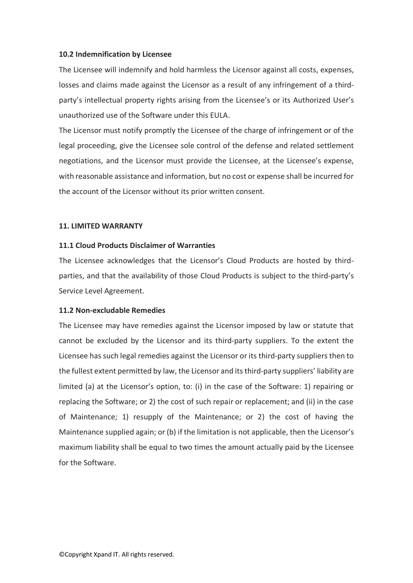### **10.2 Indemnification by Licensee**

The Licensee will indemnify and hold harmless the Licensor against all costs, expenses, losses and claims made against the Licensor as a result of any infringement of a thirdparty's intellectual property rights arising from the Licensee's or its Authorized User's unauthorized use of the Software under this EULA.

The Licensor must notify promptly the Licensee of the charge of infringement or of the legal proceeding, give the Licensee sole control of the defense and related settlement negotiations, and the Licensor must provide the Licensee, at the Licensee's expense, with reasonable assistance and information, but no cost or expense shall be incurred for the account of the Licensor without its prior written consent.

### **11. LIMITED WARRANTY**

### **11.1 Cloud Products Disclaimer of Warranties**

The Licensee acknowledges that the Licensor's Cloud Products are hosted by thirdparties, and that the availability of those Cloud Products is subject to the third-party's Service Level Agreement.

### **11.2 Non-excludable Remedies**

The Licensee may have remedies against the Licensor imposed by law or statute that cannot be excluded by the Licensor and its third-party suppliers. To the extent the Licensee has such legal remedies against the Licensor or its third-party suppliers then to the fullest extent permitted by law, the Licensor and its third-party suppliers' liability are limited (a) at the Licensor's option, to: (i) in the case of the Software: 1) repairing or replacing the Software; or 2) the cost of such repair or replacement; and (ii) in the case of Maintenance; 1) resupply of the Maintenance; or 2) the cost of having the Maintenance supplied again; or (b) if the limitation is not applicable, then the Licensor's maximum liability shall be equal to two times the amount actually paid by the Licensee for the Software.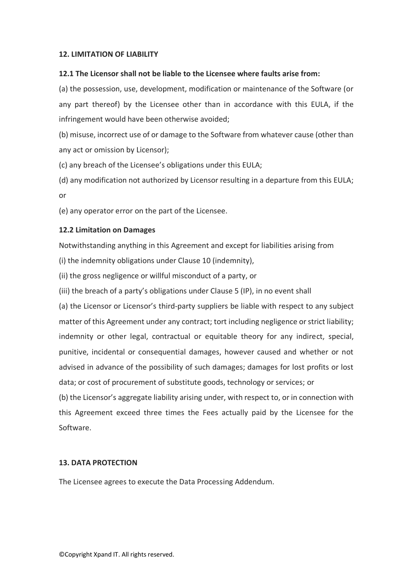### **12. LIMITATION OF LIABILITY**

### **12.1 The Licensor shall not be liable to the Licensee where faults arise from:**

(a) the possession, use, development, modification or maintenance of the Software (or any part thereof) by the Licensee other than in accordance with this EULA, if the infringement would have been otherwise avoided;

(b) misuse, incorrect use of or damage to the Software from whatever cause (other than any act or omission by Licensor);

(c) any breach of the Licensee's obligations under this EULA;

(d) any modification not authorized by Licensor resulting in a departure from this EULA; or

(e) any operator error on the part of the Licensee.

### **12.2 Limitation on Damages**

Notwithstanding anything in this Agreement and except for liabilities arising from

(i) the indemnity obligations under Clause 10 (indemnity),

(ii) the gross negligence or willful misconduct of a party, or

(iii) the breach of a party's obligations under Clause 5 (IP), in no event shall

(a) the Licensor or Licensor's third-party suppliers be liable with respect to any subject matter of this Agreement under any contract; tort including negligence or strict liability; indemnity or other legal, contractual or equitable theory for any indirect, special, punitive, incidental or consequential damages, however caused and whether or not advised in advance of the possibility of such damages; damages for lost profits or lost data; or cost of procurement of substitute goods, technology or services; or

(b) the Licensor's aggregate liability arising under, with respect to, or in connection with this Agreement exceed three times the Fees actually paid by the Licensee for the Software.

### **13. DATA PROTECTION**

The Licensee agrees to execute the Data Processing Addendum.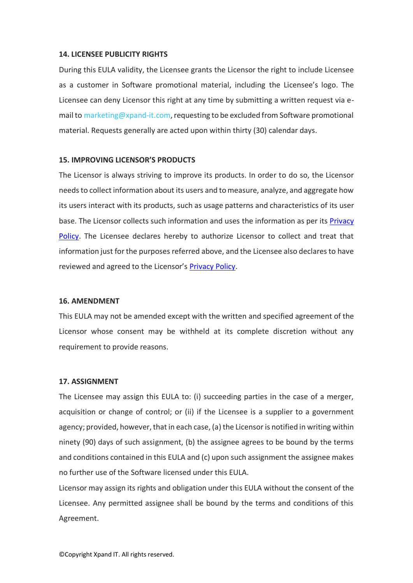### **14. LICENSEE PUBLICITY RIGHTS**

During this EULA validity, the Licensee grants the Licensor the right to include Licensee as a customer in Software promotional material, including the Licensee's logo. The Licensee can deny Licensor this right at any time by submitting a written request via email to [marketing@xpand-it.com,](mailto:marketing@xpand-it.com) requesting to be excluded from Software promotional material. Requests generally are acted upon within thirty (30) calendar days.

### **15. IMPROVING LICENSOR'S PRODUCTS**

The Licensor is always striving to improve its products. In order to do so, the Licensor needs to collect information about its users and to measure, analyze, and aggregate how its users interact with its products, such as usage patterns and characteristics of its user base. The Licensor collects such information and uses the information as per its [Privacy](https://www.xpand-it.com/privacy-policy-p01-2018316-01/)  [Policy.](https://www.xpand-it.com/privacy-policy-p01-2018316-01/) The Licensee declares hereby to authorize Licensor to collect and treat that information just for the purposes referred above, and the Licensee also declares to have reviewed and agreed to the Licensor's [Privacy Policy.](https://www.xpand-it.com/privacy-policy-p01-2018316-01/)

### **16. AMENDMENT**

This EULA may not be amended except with the written and specified agreement of the Licensor whose consent may be withheld at its complete discretion without any requirement to provide reasons.

#### **17. ASSIGNMENT**

The Licensee may assign this EULA to: (i) succeeding parties in the case of a merger, acquisition or change of control; or (ii) if the Licensee is a supplier to a government agency; provided, however, that in each case, (a) the Licensor is notified in writing within ninety (90) days of such assignment, (b) the assignee agrees to be bound by the terms and conditions contained in this EULA and (c) upon such assignment the assignee makes no further use of the Software licensed under this EULA.

Licensor may assign its rights and obligation under this EULA without the consent of the Licensee. Any permitted assignee shall be bound by the terms and conditions of this Agreement.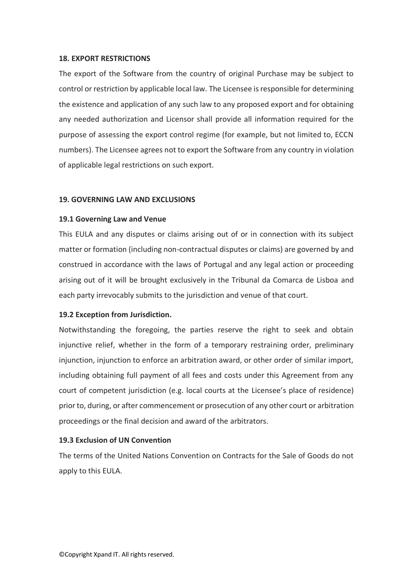### **18. EXPORT RESTRICTIONS**

The export of the Software from the country of original Purchase may be subject to control or restriction by applicable local law. The Licensee is responsible for determining the existence and application of any such law to any proposed export and for obtaining any needed authorization and Licensor shall provide all information required for the purpose of assessing the export control regime (for example, but not limited to, ECCN numbers). The Licensee agrees not to export the Software from any country in violation of applicable legal restrictions on such export.

### **19. GOVERNING LAW AND EXCLUSIONS**

### **19.1 Governing Law and Venue**

This EULA and any disputes or claims arising out of or in connection with its subject matter or formation (including non-contractual disputes or claims) are governed by and construed in accordance with the laws of Portugal and any legal action or proceeding arising out of it will be brought exclusively in the Tribunal da Comarca de Lisboa and each party irrevocably submits to the jurisdiction and venue of that court.

### **19.2 Exception from Jurisdiction.**

Notwithstanding the foregoing, the parties reserve the right to seek and obtain injunctive relief, whether in the form of a temporary restraining order, preliminary injunction, injunction to enforce an arbitration award, or other order of similar import, including obtaining full payment of all fees and costs under this Agreement from any court of competent jurisdiction (e.g. local courts at the Licensee's place of residence) prior to, during, or after commencement or prosecution of any other court or arbitration proceedings or the final decision and award of the arbitrators.

### **19.3 Exclusion of UN Convention**

The terms of the United Nations Convention on Contracts for the Sale of Goods do not apply to this EULA.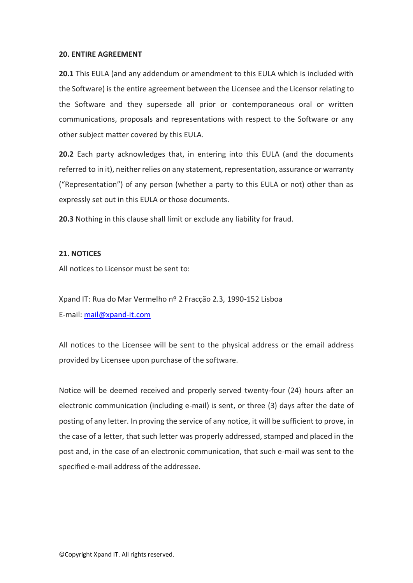### **20. ENTIRE AGREEMENT**

**20.1** This EULA (and any addendum or amendment to this EULA which is included with the Software) is the entire agreement between the Licensee and the Licensor relating to the Software and they supersede all prior or contemporaneous oral or written communications, proposals and representations with respect to the Software or any other subject matter covered by this EULA.

**20.2** Each party acknowledges that, in entering into this EULA (and the documents referred to in it), neither relies on any statement, representation, assurance or warranty ("Representation") of any person (whether a party to this EULA or not) other than as expressly set out in this EULA or those documents.

**20.3** Nothing in this clause shall limit or exclude any liability for fraud.

### **21. NOTICES**

All notices to Licensor must be sent to:

Xpand IT: Rua do Mar Vermelho nº 2 Fracção 2.3, 1990-152 Lisboa E-mail: [mail@xpand-it.com](mailto:mail@xpand-it.com)

All notices to the Licensee will be sent to the physical address or the email address provided by Licensee upon purchase of the software.

Notice will be deemed received and properly served twenty-four (24) hours after an electronic communication (including e-mail) is sent, or three (3) days after the date of posting of any letter. In proving the service of any notice, it will be sufficient to prove, in the case of a letter, that such letter was properly addressed, stamped and placed in the post and, in the case of an electronic communication, that such e-mail was sent to the specified e-mail address of the addressee.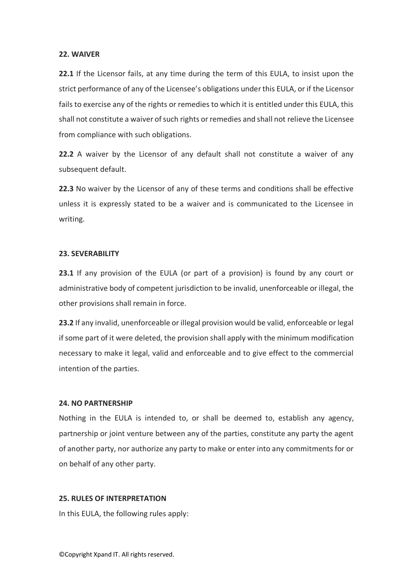### **22. WAIVER**

**22.1** If the Licensor fails, at any time during the term of this EULA, to insist upon the strict performance of any of the Licensee's obligations under this EULA, or if the Licensor fails to exercise any of the rights or remedies to which it is entitled under this EULA, this shall not constitute a waiver of such rights or remedies and shall not relieve the Licensee from compliance with such obligations.

**22.2** A waiver by the Licensor of any default shall not constitute a waiver of any subsequent default.

**22.3** No waiver by the Licensor of any of these terms and conditions shall be effective unless it is expressly stated to be a waiver and is communicated to the Licensee in writing.

### **23. SEVERABILITY**

**23.1** If any provision of the EULA (or part of a provision) is found by any court or administrative body of competent jurisdiction to be invalid, unenforceable or illegal, the other provisions shall remain in force.

**23.2** If any invalid, unenforceable or illegal provision would be valid, enforceable or legal if some part of it were deleted, the provision shall apply with the minimum modification necessary to make it legal, valid and enforceable and to give effect to the commercial intention of the parties.

### **24. NO PARTNERSHIP**

Nothing in the EULA is intended to, or shall be deemed to, establish any agency, partnership or joint venture between any of the parties, constitute any party the agent of another party, nor authorize any party to make or enter into any commitments for or on behalf of any other party.

### **25. RULES OF INTERPRETATION**

In this EULA, the following rules apply: